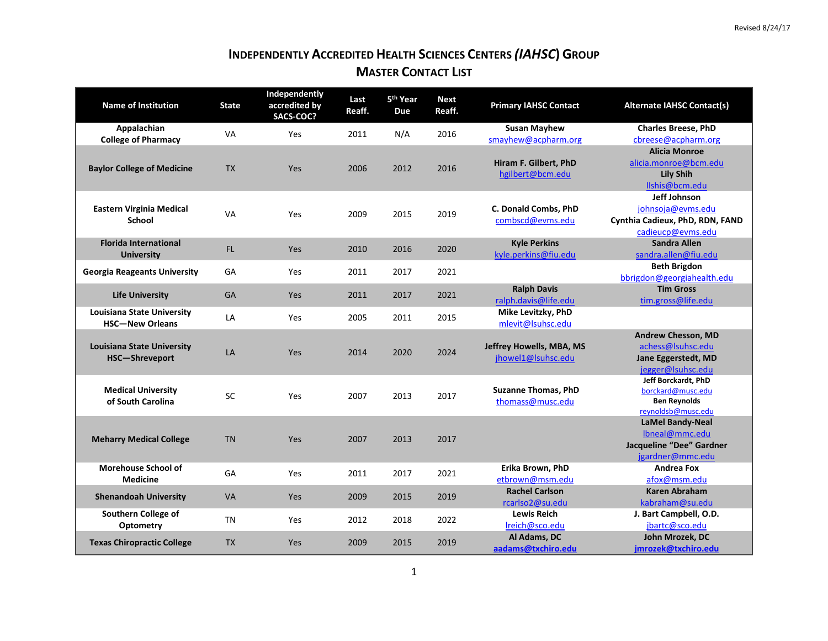## **INDEPENDENTLY ACCREDITED HEALTH SCIENCES CENTERS** *(IAHSC***) GROUP MASTER CONTACT LIST**

| <b>Name of Institution</b>                                  | <b>State</b> | Independently<br>accredited by<br>SACS-COC? | Last<br>Reaff. | 5 <sup>th</sup> Year<br>Due | <b>Next</b><br>Reaff. | <b>Primary IAHSC Contact</b>                   | <b>Alternate IAHSC Contact(s)</b>                                                          |
|-------------------------------------------------------------|--------------|---------------------------------------------|----------------|-----------------------------|-----------------------|------------------------------------------------|--------------------------------------------------------------------------------------------|
| Appalachian<br><b>College of Pharmacy</b>                   | <b>VA</b>    | Yes                                         | 2011           | N/A                         | 2016                  | <b>Susan Mayhew</b><br>smayhew@acpharm.org     | <b>Charles Breese, PhD</b><br>cbreese@acpharm.org                                          |
| <b>Baylor College of Medicine</b>                           | <b>TX</b>    | Yes                                         | 2006           | 2012                        | 2016                  | Hiram F. Gilbert, PhD<br>hgilbert@bcm.edu      | <b>Alicia Monroe</b><br>alicia.monroe@bcm.edu<br><b>Lily Shih</b><br>Ilshis@bcm.edu        |
| <b>Eastern Virginia Medical</b><br>School                   | <b>VA</b>    | Yes                                         | 2009           | 2015                        | 2019                  | C. Donald Combs, PhD<br>combscd@evms.edu       | Jeff Johnson<br>johnsoja@evms.edu<br>Cynthia Cadieux, PhD, RDN, FAND<br>cadieucp@evms.edu  |
| <b>Florida International</b><br><b>University</b>           | FL.          | Yes                                         | 2010           | 2016                        | 2020                  | <b>Kyle Perkins</b><br>kyle.perkins@fiu.edu    | <b>Sandra Allen</b><br>sandra.allen@fiu.edu                                                |
| <b>Georgia Reageants University</b>                         | GA           | Yes                                         | 2011           | 2017                        | 2021                  |                                                | <b>Beth Brigdon</b><br>bbrigdon@georgiahealth.edu                                          |
| <b>Life University</b>                                      | GA           | Yes                                         | 2011           | 2017                        | 2021                  | <b>Ralph Davis</b><br>ralph.davis@life.edu     | <b>Tim Gross</b><br>tim.gross@life.edu                                                     |
| <b>Louisiana State University</b><br><b>HSC-New Orleans</b> | LA           | Yes                                         | 2005           | 2011                        | 2015                  | Mike Levitzky, PhD<br>mlevit@lsuhsc.edu        |                                                                                            |
| <b>Louisiana State University</b><br>HSC-Shreveport         | LA           | Yes                                         | 2014           | 2020                        | 2024                  | Jeffrey Howells, MBA, MS<br>jhowel1@Isuhsc.edu | <b>Andrew Chesson, MD</b><br>achess@Isuhsc.edu<br>Jane Eggerstedt, MD<br>jegger@lsuhsc.edu |
| <b>Medical University</b><br>of South Carolina              | SC           | Yes                                         | 2007           | 2013                        | 2017                  | <b>Suzanne Thomas, PhD</b><br>thomass@musc.edu | Jeff Borckardt, PhD<br>borckard@musc.edu<br><b>Ben Reynolds</b><br>reynoldsb@musc.edu      |
| <b>Meharry Medical College</b>                              | <b>TN</b>    | Yes                                         | 2007           | 2013                        | 2017                  |                                                | <b>LaMel Bandy-Neal</b><br>Ibneal@mmc.edu<br>Jacqueline "Dee" Gardner<br>jgardner@mmc.edu  |
| <b>Morehouse School of</b><br><b>Medicine</b>               | GA           | Yes                                         | 2011           | 2017                        | 2021                  | Erika Brown, PhD<br>etbrown@msm.edu            | <b>Andrea Fox</b><br>afox@msm.edu                                                          |
| <b>Shenandoah University</b>                                | VA           | Yes                                         | 2009           | 2015                        | 2019                  | <b>Rachel Carlson</b><br>rcarlso2@su.edu       | <b>Karen Abraham</b><br>kabraham@su.edu                                                    |
| Southern College of<br>Optometry                            | TN           | Yes                                         | 2012           | 2018                        | 2022                  | <b>Lewis Reich</b><br>Ireich@sco.edu           | J. Bart Campbell, O.D.<br>jbartc@sco.edu                                                   |
| <b>Texas Chiropractic College</b>                           | <b>TX</b>    | Yes                                         | 2009           | 2015                        | 2019                  | Al Adams, DC<br>aadams@txchiro.edu             | John Mrozek, DC<br>jmrozek@txchiro.edu                                                     |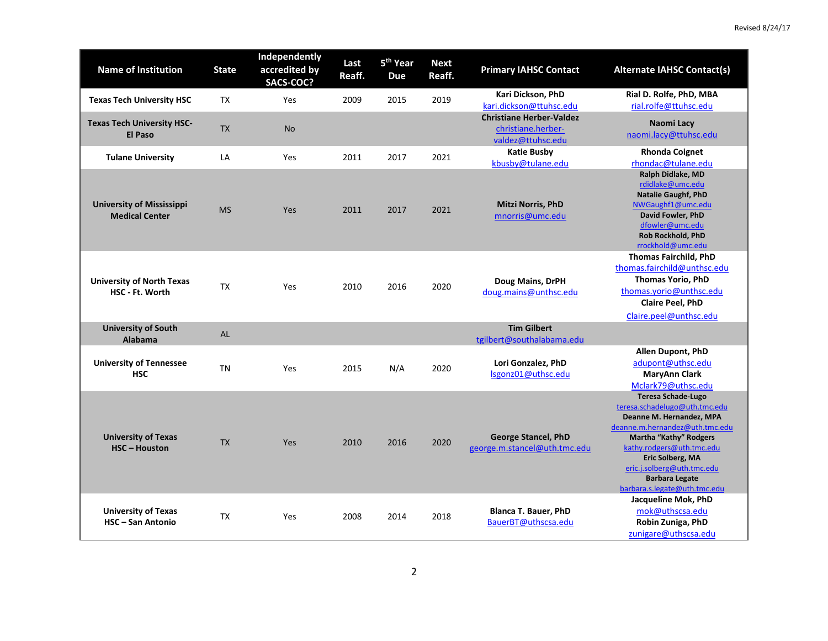| <b>Name of Institution</b>                                 | <b>State</b> | Independently<br>accredited by<br>SACS-COC? | Last<br>Reaff. | 5 <sup>th</sup> Year<br><b>Due</b> | <b>Next</b><br>Reaff. | <b>Primary IAHSC Contact</b>                                               | <b>Alternate IAHSC Contact(s)</b>                                                                                                                                                                                                                                                          |
|------------------------------------------------------------|--------------|---------------------------------------------|----------------|------------------------------------|-----------------------|----------------------------------------------------------------------------|--------------------------------------------------------------------------------------------------------------------------------------------------------------------------------------------------------------------------------------------------------------------------------------------|
| <b>Texas Tech University HSC</b>                           | <b>TX</b>    | Yes                                         | 2009           | 2015                               | 2019                  | Kari Dickson, PhD<br>kari.dickson@ttuhsc.edu                               | Rial D. Rolfe, PhD, MBA<br>rial.rolfe@ttuhsc.edu                                                                                                                                                                                                                                           |
| <b>Texas Tech University HSC-</b><br><b>El Paso</b>        | <b>TX</b>    | <b>No</b>                                   |                |                                    |                       | <b>Christiane Herber-Valdez</b><br>christiane.herber-<br>valdez@ttuhsc.edu | Naomi Lacy<br>naomi.lacy@ttuhsc.edu                                                                                                                                                                                                                                                        |
| <b>Tulane University</b>                                   | LA           | Yes                                         | 2011           | 2017                               | 2021                  | <b>Katie Busby</b><br>kbusby@tulane.edu                                    | <b>Rhonda Coignet</b><br>rhondac@tulane.edu                                                                                                                                                                                                                                                |
| <b>University of Mississippi</b><br><b>Medical Center</b>  | <b>MS</b>    | Yes                                         | 2011           | 2017                               | 2021                  | <b>Mitzi Norris, PhD</b><br>mnorris@umc.edu                                | Ralph Didlake, MD<br>rdidlake@umc.edu<br><b>Natalie Gaughf, PhD</b><br>NWGaughf1@umc.edu<br>David Fowler, PhD<br>dfowler@umc.edu<br><b>Rob Rockhold, PhD</b><br>rrockhold@umc.edu                                                                                                          |
| <b>University of North Texas</b><br><b>HSC - Ft. Worth</b> | <b>TX</b>    | Yes                                         | 2010           | 2016                               | 2020                  | Doug Mains, DrPH<br>doug.mains@unthsc.edu                                  | <b>Thomas Fairchild, PhD</b><br>thomas.fairchild@unthsc.edu<br><b>Thomas Yorio, PhD</b><br>thomas.yorio@unthsc.edu<br><b>Claire Peel, PhD</b><br>Claire.peel@unthsc.edu                                                                                                                    |
| <b>University of South</b><br><b>Alabama</b>               | <b>AL</b>    |                                             |                |                                    |                       | <b>Tim Gilbert</b><br>tgilbert@southalabama.edu                            |                                                                                                                                                                                                                                                                                            |
| <b>University of Tennessee</b><br><b>HSC</b>               | TN           | Yes                                         | 2015           | N/A                                | 2020                  | Lori Gonzalez, PhD<br>Isgonz01@uthsc.edu                                   | Allen Dupont, PhD<br>adupont@uthsc.edu<br><b>MaryAnn Clark</b><br>Mclark79@uthsc.edu                                                                                                                                                                                                       |
| <b>University of Texas</b><br><b>HSC-Houston</b>           | <b>TX</b>    | Yes                                         | 2010           | 2016                               | 2020                  | <b>George Stancel, PhD</b><br>george.m.stancel@uth.tmc.edu                 | <b>Teresa Schade-Lugo</b><br>teresa.schadelugo@uth.tmc.edu<br>Deanne M. Hernandez, MPA<br>deanne.m.hernandez@uth.tmc.edu<br>Martha "Kathy" Rodgers<br>kathy.rodgers@uth.tmc.edu<br>Eric Solberg, MA<br>eric.j.solberg@uth.tmc.edu<br><b>Barbara Legate</b><br>barbara.s.legate@uth.tmc.edu |
| <b>University of Texas</b><br><b>HSC-San Antonio</b>       | <b>TX</b>    | Yes                                         | 2008           | 2014                               | 2018                  | <b>Blanca T. Bauer, PhD</b><br>BauerBT@uthscsa.edu                         | Jacqueline Mok, PhD<br>mok@uthscsa.edu<br>Robin Zuniga, PhD<br>zunigare@uthscsa.edu                                                                                                                                                                                                        |